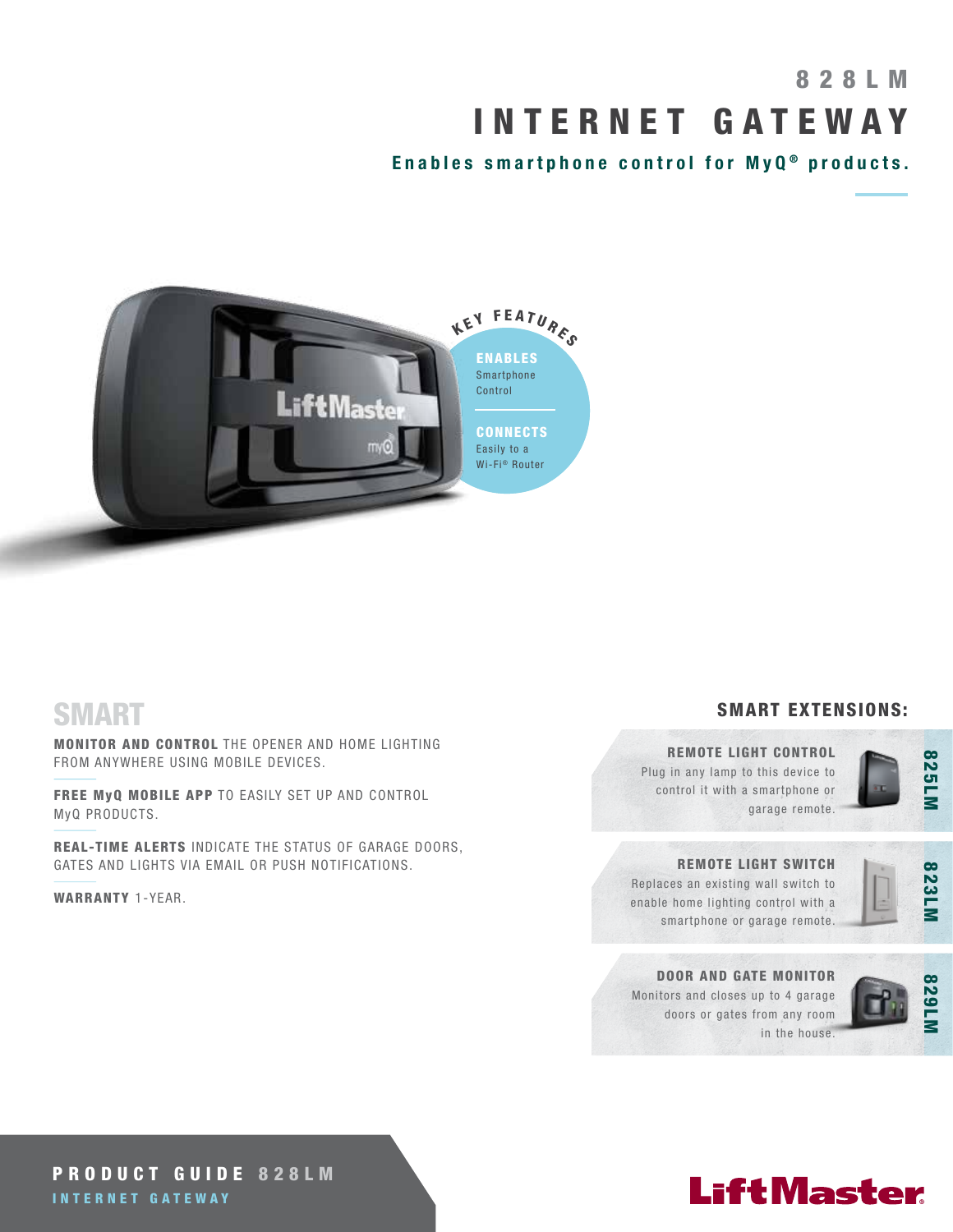# 8 2 8 L M INTERNET GATEWAY

Enables smartphone control for  $MyQ<sup>®</sup>$  products.



### SMART

MONITOR AND CONTROL THE OPENER AND HOME LIGHTING FROM ANYWHERE USING MOBILE DEVICES.

FREE MyQ MOBILE APP TO EASILY SET UP AND CONTROL MyQ PRODUCTS.

REAL-TIME ALERTS INDICATE THE STATUS OF GARAGE DOORS, GATES AND LIGHTS VIA EMAIL OR PUSH NOTIFICATIONS.

WARRANTY 1-YEAR.

### SMART EXTENSIONS:

### REMOTE LIGHT CONTROL

Plug in any lamp to this device to control it with a smartphone or garage remote.



### REMOTE LIGHT SWITCH

Replaces an existing wall switch to enable home lighting control with a smartphone or garage remote.



### DOOR AND GATE MONITOR Monitors and closes up to 4 garage doors or gates from any room in the house.



### PRODUCT GUIDE 828LM INTERNET GATEWAY

# **LiftMaster**